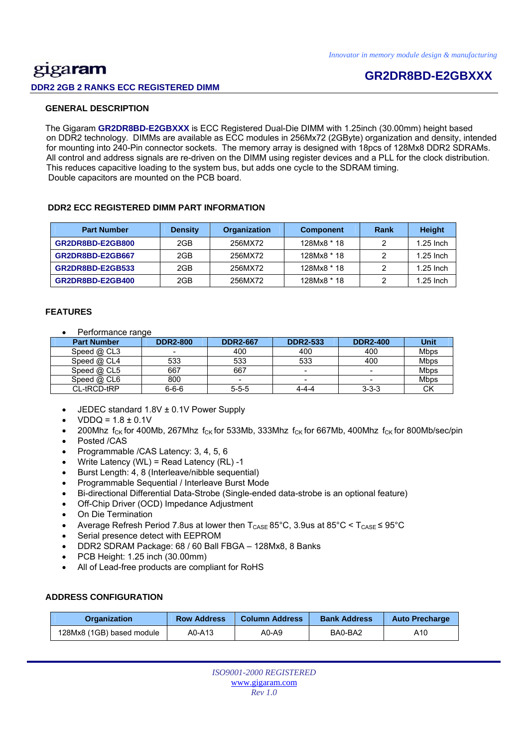# gigaram **DDR2 2GB 2 RANKS ECC REGISTERED DIMM**

# **GR2DR8BD-E2GBXXX**

### **GENERAL DESCRIPTION**

 The Gigaram **GR2DR8BD-E2GBXXX** is ECC Registered Dual-Die DIMM with 1.25inch (30.00mm) height based on DDR2 technology. DIMMs are available as ECC modules in 256Mx72 (2GByte) organization and density, intended for mounting into 240-Pin connector sockets. The memory array is designed with 18pcs of 128Mx8 DDR2 SDRAMs. All control and address signals are re-driven on the DIMM using register devices and a PLL for the clock distribution. This reduces capacitive loading to the system bus, but adds one cycle to the SDRAM timing. Double capacitors are mounted on the PCB board.

### **DDR2 ECC REGISTERED DIMM PART INFORMATION**

| <b>Part Number</b> | <b>Density</b> | Organization | <b>Component</b> | Rank | <b>Height</b> |
|--------------------|----------------|--------------|------------------|------|---------------|
| GR2DR8BD-E2GB800   | 2GB            | 256MX72      | 128Mx8 * 18      |      | $1.25$ Inch   |
| GR2DR8BD-E2GB667   | 2GB            | 256MX72      | 128Mx8 * 18      |      | $1.25$ Inch   |
| GR2DR8BD-E2GB533   | 2GB            | 256MX72      | 128Mx8 * 18      |      | $1.25$ lnch   |
| GR2DR8BD-E2GB400   | 2GB            | 256MX72      | 128Mx8 * 18      |      | $1.25$ lnch   |

### **FEATURES**

• Performance range

| <b>Part Number</b> | <b>DDR2-800</b>          | <b>DDR2-667</b> | <b>DDR2-533</b> | <b>DDR2-400</b> | Unit        |
|--------------------|--------------------------|-----------------|-----------------|-----------------|-------------|
| Speed @ CL3        | $\overline{\phantom{0}}$ | 400             | 400             | 400             | <b>Mbps</b> |
| Speed @ CL4        | 533                      | 533             | 533             | 400             | <b>Mbps</b> |
| Speed $@$ CL5      | 667                      | 667             |                 | -               | Mbps        |
| Speed $@$ CL6      | 800                      |                 |                 | -               | Mbps        |
| CL-tRCD-tRP        | $6 - 6 - 6$              | $5 - 5 - 5$     | 4-4-4           | $3 - 3 - 3$     | СK          |

- JEDEC standard 1.8V ± 0.1V Power Supply
- $VDDQ = 1.8 \pm 0.1V$
- 200Mhz  $f_{CK}$  for 400Mb, 267Mhz  $f_{CK}$  for 533Mb, 333Mhz  $f_{CK}$  for 667Mb, 400Mhz  $f_{CK}$  for 800Mb/sec/pin Posted /CAS
- 
- Programmable /CAS Latency: 3, 4, 5, 6
- Write Latency (WL) = Read Latency (RL) -1
- Burst Length: 4, 8 (Interleave/nibble sequential)
- Programmable Sequential / Interleave Burst Mode
- Bi-directional Differential Data-Strobe (Single-ended data-strobe is an optional feature)
- Off-Chip Driver (OCD) Impedance Adjustment
- On Die Termination
- Average Refresh Period 7.8us at lower then  $T_{\text{CASE}}$  85°C, 3.9us at 85°C <  $T_{\text{CASE}}$  ≤ 95°C
- Serial presence detect with EEPROM
- DDR2 SDRAM Package: 68 / 60 Ball FBGA 128Mx8, 8 Banks
- PCB Height: 1.25 inch (30.00mm)
- All of Lead-free products are compliant for RoHS

### **ADDRESS CONFIGURATION**

| <b>Row Address</b><br><b>Organization</b> |        | <b>Column Address</b> | <b>Bank Address</b> | <b>Auto Precharge</b> |  |
|-------------------------------------------|--------|-----------------------|---------------------|-----------------------|--|
| 128Mx8 (1GB) based module                 | A0-A13 | A0-A9                 | BA0-BA2             | A10                   |  |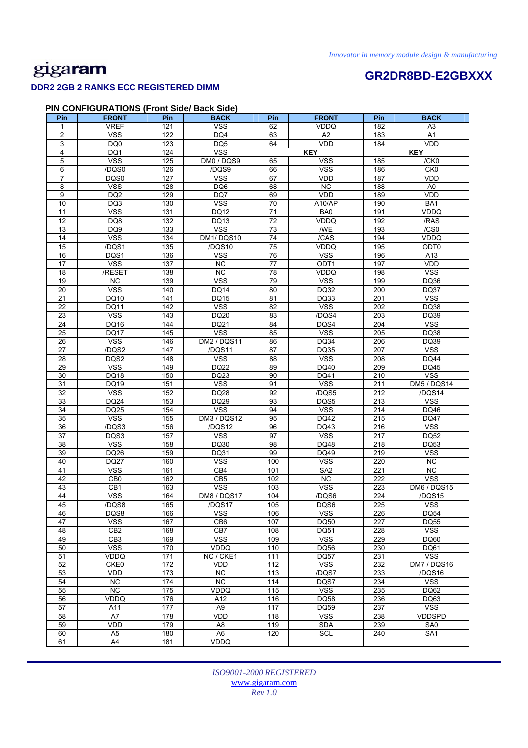# gigaram

### **DDR2 2GB 2 RANKS ECC REGISTERED DIMM**

61 A4 181 VDDQ

# **GR2DR8BD-E2GBXXX**

DM5 / DQS14

| Pin             | <b>FRONT</b>            | Pin | <b>BACK</b>             | Pin             | <b>FRONT</b>            | Pin              | <b>BACK</b>             |
|-----------------|-------------------------|-----|-------------------------|-----------------|-------------------------|------------------|-------------------------|
| 1               | <b>VREF</b>             | 121 | <b>VSS</b>              | 62              | <b>VDDQ</b>             | 182              | A3                      |
| $\overline{2}$  | $\overline{\text{VSS}}$ | 122 | DQ4                     | 63              | A2                      | 183              | A1                      |
| 3               | DQ <sub>0</sub>         | 123 | DQ <sub>5</sub>         | 64              | <b>VDD</b>              | 184              | <b>VDD</b>              |
| 4               | DQ1                     | 124 | <b>VSS</b>              |                 | <b>KEY</b>              |                  | <b>KEY</b>              |
| 5               | <b>VSS</b>              | 125 | DM0 / DQS9              | 65              | <b>VSS</b>              | 185              | /CK0                    |
| 6               | /DQS0                   | 126 | /DQS9                   | 66              | <b>VSS</b>              | 186              | CK <sub>0</sub>         |
| $\overline{7}$  | DQS0                    | 127 | $\overline{\text{VSS}}$ | 67              | VDD                     | 187              | <b>VDD</b>              |
| 8               | <b>VSS</b>              | 128 | DQ6                     | 68              | <b>NC</b>               | 188              | A0                      |
| 9               | DQ <sub>2</sub>         | 129 | DQ7                     | 69              | <b>VDD</b>              | 189              | VDD                     |
| 10              | DQ3                     | 130 | <b>VSS</b>              | 70              | A10/AP                  | 190              | BA1                     |
| $\overline{11}$ | $\overline{\text{VSS}}$ | 131 | <b>DQ12</b>             | $\overline{71}$ | B <sub>A0</sub>         | 191              | <b>VDDQ</b>             |
| $\overline{12}$ | DQ8                     | 132 | DQ13                    | 72              | <b>VDDQ</b>             | 192              | /RAS                    |
| 13              | DQ <sub>9</sub>         | 133 | $\overline{\text{VSS}}$ | 73              | /WE                     | 193              | /CS0                    |
| 14              | <b>VSS</b>              | 134 | DM1/DQS10               | 74              | /CAS                    | 194              | <b>VDDQ</b>             |
| 15              | /DQS1                   | 135 | /DQS10                  | 75              | VDDQ                    | 195              | ODT0                    |
| 16              | DQS1                    | 136 | <b>VSS</b>              | 76              | <b>VSS</b>              | 196              | A13                     |
| 17              | $\overline{\text{VSS}}$ | 137 | <b>NC</b>               | $\overline{77}$ | ODT <sub>1</sub>        | 197              | VDD                     |
| 18              | /RESET                  | 138 | NC                      | 78              | <b>VDDQ</b>             | 198              | $\overline{\text{VSS}}$ |
| 19              | NC                      | 139 | <b>VSS</b>              | 79              | <b>VSS</b>              | 199              | DQ36                    |
| 20              | <b>VSS</b>              | 140 | <b>DQ14</b>             | 80              | DQ32                    | 200              | <b>DQ37</b>             |
| 21              | DQ10                    | 141 | <b>DQ15</b>             | 81              | DQ33                    | 201              | $\overline{\text{VSS}}$ |
| 22              | <b>DQ11</b>             | 142 | <b>VSS</b>              | 82              | $\overline{\text{VSS}}$ | 202              | DQ38                    |
| 23              | <b>VSS</b>              | 143 | DQ20                    | 83              | /DQS4                   | 203              | DQ39                    |
| 24              | DQ16                    | 144 | DQ21                    | 84              | DQS4                    | 204              | <b>VSS</b>              |
| 25              | <b>DQ17</b>             | 145 | <b>VSS</b>              | 85              | <b>VSS</b>              | 205              | DQ38                    |
| 26              | $\overline{\text{VSS}}$ | 146 | <b>DM2 / DQS11</b>      | 86              | <b>DQ34</b>             | 206              | DQ39                    |
| $\overline{27}$ | /DQS2                   | 147 | /DQS11                  | 87              | <b>DQ35</b>             | $\overline{207}$ | <b>VSS</b>              |
| 28              | DQS2                    | 148 | <b>VSS</b>              | 88              | $\overline{\text{VSS}}$ | 208              | <b>DQ44</b>             |
| 29              | <b>VSS</b>              | 149 | <b>DQ22</b>             | 89              | DQ40                    | 209              | DQ45                    |
| 30              | <b>DQ18</b>             | 150 | DQ23                    | 90              | DQ41                    | 210              | <b>VSS</b>              |
| 31              | DQ19                    | 151 | <b>VSS</b>              | 91              | <b>VSS</b>              | 211              | DM5 / DQS               |
| $\overline{32}$ | <b>VSS</b>              | 152 | <b>DQ28</b>             | 92              | /DQS5                   | 212              | /DQS14                  |
| 33              | DQ24                    | 153 | <b>DQ29</b>             | 93              | DQS5                    | 213              | <b>VSS</b>              |
| $\overline{34}$ | DQ25                    | 154 | <b>VSS</b>              | 94              | $\overline{\text{VSS}}$ | 214              | DQ46                    |
| 35              | <b>VSS</b>              | 155 | DM3 / DQS12             | 95              | <b>DQ42</b>             | 215              | <b>DQ47</b>             |
| 36              | /DQS3                   | 156 | /DQS12                  | 96              | DQ43                    | 216              | <b>VSS</b>              |
| 37              | DQS3                    | 157 | <b>VSS</b>              | 97              | <b>VSS</b>              | 217              | <b>DQ52</b>             |
| $\overline{38}$ | <b>VSS</b>              | 158 | DQ30                    | 98              | <b>DQ48</b>             | 218              | DQ53                    |

*ISO9001-2000 REGISTERED*  www.gigaram.com *Rev 1.0*

39 DQ26 159 DQ31 99 DQ49 219 VSS 40 | DQ27 | 160 | VSS | 100 | VSS | 220 | NC 41 | VSS | 161 | CB4 | 101 | SA2 | 221 | NC 42 | CB0 | 162 | CB5 | 102 | NC | 222 | VSS 43 | CB1 | 163 | VSS | 103 | VSS | 223 | DM6 / DQS15 44 | VSS | 164 | DM8 / DQS17 | 104 | /DQS6 | 224 | /DQS15 45 | /DQS8 | 165 | /DQS17 | 105 | DQS6 | 225 | VSS 46 | DQS8 | 166 | VSS | 106 | VSS | 226 | DQ54 47 | VSS | 167 | CB6 | 107 | DQ50 | 227 | DQ55 48 CB2 168 CB7 108 DQ51 228 VSS 49 | CB3 | 169 | VSS | 109 | VSS | 229 | DQ60 50 VSS 170 VDDQ 110 DQ56 230 DQ61 51 | VDDQ | 171 | NC / CKE1 | 111 | DQ57 | 231 | VSS 52 CKE0 172 VDD 112 VSS 232 DM7 / DQS16 53 | VDD | 173 | NC | 113 | /DQS7 | 233 | /DQS16 54 | NC | 174 | NC | 114 | DQS7 | 234 | VSS 55 | NC | 175 | VDDQ | 115 | VSS | 235 | DQ62 56 | VDDQ | 176 | A12 | 116 | DQ58 | 236 | DQ63 57 | A11 | 177 | A9 | 117 | DQ59 | 237 | VSS 58 | A7 | 178 | VDD | 118 | VSS | 238 | VDDSPD 59 | VDD | 179 | A8 | 119 | SDA | 239 | SA0 60 | A5 | 180 | A6 | 120 | SCL | 240 | SA1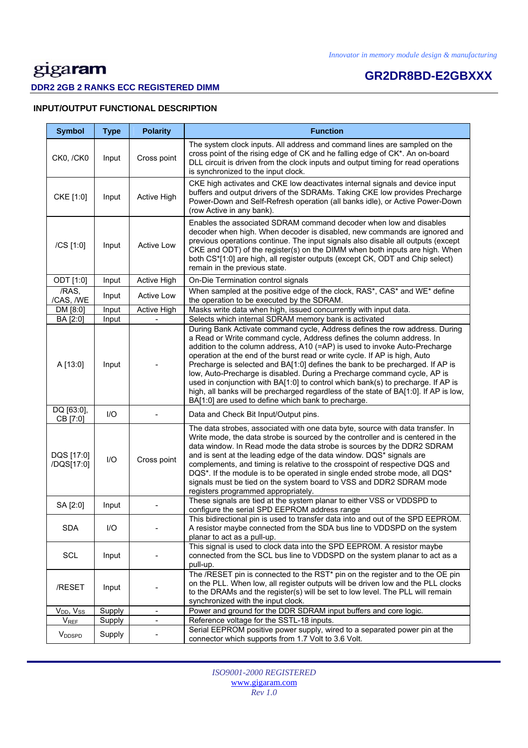# **GR2DR8BD-E2GBXXX**

### **DDR2 2GB 2 RANKS ECC REGISTERED DIMM**

### **INPUT/OUTPUT FUNCTIONAL DESCRIPTION**

| <b>Symbol</b>             | <b>Type</b> | <b>Polarity</b>    | <b>Function</b>                                                                                                                                                                                                                                                                                                                                                                                                                                                                                                                                                                                                                                                                                                  |
|---------------------------|-------------|--------------------|------------------------------------------------------------------------------------------------------------------------------------------------------------------------------------------------------------------------------------------------------------------------------------------------------------------------------------------------------------------------------------------------------------------------------------------------------------------------------------------------------------------------------------------------------------------------------------------------------------------------------------------------------------------------------------------------------------------|
| <b>CK0, /CK0</b>          | Input       | Cross point        | The system clock inputs. All address and command lines are sampled on the<br>cross point of the rising edge of CK and he falling edge of CK*. An on-board<br>DLL circuit is driven from the clock inputs and output timing for read operations<br>is synchronized to the input clock.                                                                                                                                                                                                                                                                                                                                                                                                                            |
| CKE [1:0]                 | Input       | Active High        | CKE high activates and CKE low deactivates internal signals and device input<br>buffers and output drivers of the SDRAMs. Taking CKE low provides Precharge<br>Power-Down and Self-Refresh operation (all banks idle), or Active Power-Down<br>(row Active in any bank).                                                                                                                                                                                                                                                                                                                                                                                                                                         |
| /CS [1:0]                 | Input       | <b>Active Low</b>  | Enables the associated SDRAM command decoder when low and disables<br>decoder when high. When decoder is disabled, new commands are ignored and<br>previous operations continue. The input signals also disable all outputs (except<br>CKE and ODT) of the register(s) on the DIMM when both inputs are high. When<br>both CS*[1:0] are high, all register outputs (except CK, ODT and Chip select)<br>remain in the previous state.                                                                                                                                                                                                                                                                             |
| ODT [1:0]                 | Input       | <b>Active High</b> | On-Die Termination control signals                                                                                                                                                                                                                                                                                                                                                                                                                                                                                                                                                                                                                                                                               |
| /RAS,<br>/CAS, /WE        | Input       | <b>Active Low</b>  | When sampled at the positive edge of the clock, RAS*, CAS* and WE* define<br>the operation to be executed by the SDRAM.                                                                                                                                                                                                                                                                                                                                                                                                                                                                                                                                                                                          |
| DM [8:0]                  | Input       | Active High        | Masks write data when high, issued concurrently with input data.                                                                                                                                                                                                                                                                                                                                                                                                                                                                                                                                                                                                                                                 |
| BA [2:0]                  | Input       |                    | Selects which internal SDRAM memory bank is activated                                                                                                                                                                                                                                                                                                                                                                                                                                                                                                                                                                                                                                                            |
| A [13:0]                  | Input       |                    | During Bank Activate command cycle, Address defines the row address. During<br>a Read or Write command cycle, Address defines the column address. In<br>addition to the column address, A10 (=AP) is used to invoke Auto-Precharge<br>operation at the end of the burst read or write cycle. If AP is high, Auto<br>Precharge is selected and BA[1:0] defines the bank to be precharged. If AP is<br>low, Auto-Precharge is disabled. During a Precharge command cycle, AP is<br>used in conjunction with BA[1:0] to control which bank(s) to precharge. If AP is<br>high, all banks will be precharged regardless of the state of BA[1:0]. If AP is low,<br>BA[1:0] are used to define which bank to precharge. |
| DQ [63:0],<br>CB [7:0]    | I/O         |                    | Data and Check Bit Input/Output pins.                                                                                                                                                                                                                                                                                                                                                                                                                                                                                                                                                                                                                                                                            |
| DQS [17:0]<br>/DQS[17:0]  | I/O         | Cross point        | The data strobes, associated with one data byte, source with data transfer. In<br>Write mode, the data strobe is sourced by the controller and is centered in the<br>data window. In Read mode the data strobe is sources by the DDR2 SDRAM<br>and is sent at the leading edge of the data window. DQS* signals are<br>complements, and timing is relative to the crosspoint of respective DQS and<br>DQS*. If the module is to be operated in single ended strobe mode, all DQS*<br>signals must be tied on the system board to VSS and DDR2 SDRAM mode<br>registers programmed appropriately.                                                                                                                  |
| SA [2:0]                  | Input       |                    | These signals are tied at the system planar to either VSS or VDDSPD to<br>configure the serial SPD EEPROM address range                                                                                                                                                                                                                                                                                                                                                                                                                                                                                                                                                                                          |
| <b>SDA</b>                | 1/O         |                    | This bidirectional pin is used to transfer data into and out of the SPD EEPROM.<br>A resistor maybe connected from the SDA bus line to VDDSPD on the system<br>planar to act as a pull-up.                                                                                                                                                                                                                                                                                                                                                                                                                                                                                                                       |
| SCL                       | Input       |                    | This signal is used to clock data into the SPD EEPROM. A resistor maybe<br>connected from the SCL bus line to VDDSPD on the system planar to act as a<br>pull-up.                                                                                                                                                                                                                                                                                                                                                                                                                                                                                                                                                |
| /RESET                    | Input       |                    | The /RESET pin is connected to the RST* pin on the register and to the OE pin<br>on the PLL. When low, all register outputs will be driven low and the PLL clocks<br>to the DRAMs and the register(s) will be set to low level. The PLL will remain<br>synchronized with the input clock.                                                                                                                                                                                                                                                                                                                                                                                                                        |
| $V_{DD}$ , $V_{SS}$       | Supply      | $\blacksquare$     | Power and ground for the DDR SDRAM input buffers and core logic.                                                                                                                                                                                                                                                                                                                                                                                                                                                                                                                                                                                                                                                 |
| $V_{REF}$                 | Supply      | -                  | Reference voltage for the SSTL-18 inputs.                                                                                                                                                                                                                                                                                                                                                                                                                                                                                                                                                                                                                                                                        |
| <b>V</b> <sub>DDSPD</sub> | Supply      |                    | Serial EEPROM positive power supply, wired to a separated power pin at the<br>connector which supports from 1.7 Volt to 3.6 Volt.                                                                                                                                                                                                                                                                                                                                                                                                                                                                                                                                                                                |

*ISO9001-2000 REGISTERED*  www.gigaram.com *Rev 1.0*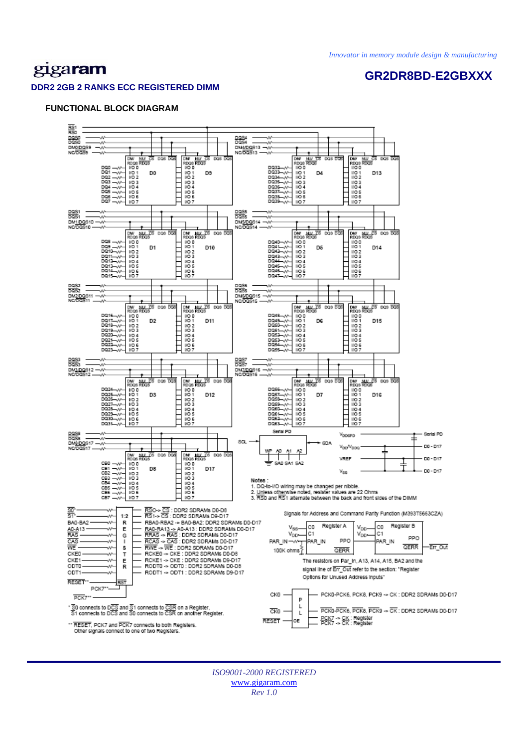# gigaram

## **GR2DR8BD-E2GBXXX**

### **DDR2 2GB 2 RANKS ECC REGISTERED DIMM**

### **FUNCTIONAL BLOCK DIAGRAM**



*ISO9001-2000 REGISTERED*  www.gigaram.com *Rev 1.0*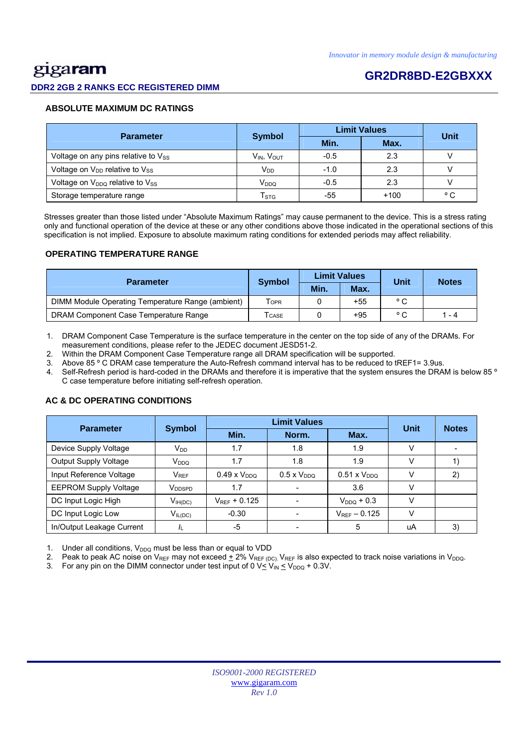# <u>gig</u>aram

### **DDR2 2GB 2 RANKS ECC REGISTERED DIMM**

## **GR2DR8BD-E2GBXXX**

### **ABSOLUTE MAXIMUM DC RATINGS**

| <b>Parameter</b>                           |                           | <b>Limit Values</b> | Unit   |              |
|--------------------------------------------|---------------------------|---------------------|--------|--------------|
|                                            | <b>Symbol</b>             | Min.                | Max.   |              |
| Voltage on any pins relative to $V_{SS}$   | $V_{IN}$ , $V_{OUT}$      | $-0.5$              | 2.3    |              |
| Voltage on V <sub>DD</sub> relative to Vss | V <sub>DD</sub>           | $-1.0$              | 2.3    |              |
| Voltage on $V_{DDQ}$ relative to $V_{SS}$  | V <sub>DDQ</sub>          | $-0.5$              | 2.3    |              |
| Storage temperature range                  | $\mathsf{T}_{\text{STG}}$ | -55                 | $+100$ | $^{\circ}$ C |

 Stresses greater than those listed under "Absolute Maximum Ratings" may cause permanent to the device. This is a stress rating only and functional operation of the device at these or any other conditions above those indicated in the operational sections of this specification is not implied. Exposure to absolute maximum rating conditions for extended periods may affect reliability.

#### **OPERATING TEMPERATURE RANGE**

| <b>Parameter</b>                                  | <b>Symbol</b>              |      | <b>Limit Values</b> | Unit           | <b>Notes</b> |  |
|---------------------------------------------------|----------------------------|------|---------------------|----------------|--------------|--|
|                                                   |                            | Min. | Max.                |                |              |  |
| DIMM Module Operating Temperature Range (ambient) | <b>TOPR</b>                |      | $+55$               | $^{\circ}$ C   |              |  |
| DRAM Component Case Temperature Range             | $\mathsf{T}_\mathsf{CASE}$ |      | $+95$               | $\circ$ $\sim$ | 1 - 4        |  |

1. DRAM Component Case Temperature is the surface temperature in the center on the top side of any of the DRAMs. For measurement conditions, please refer to the JEDEC document JESD51-2.

2. Within the DRAM Component Case Temperature range all DRAM specification will be supported.

3. Above 85 º C DRAM case temperature the Auto-Refresh command interval has to be reduced to tREF1= 3.9us.

4. Self-Refresh period is hard-coded in the DRAMs and therefore it is imperative that the system ensures the DRAM is below 85 º C case temperature before initiating self-refresh operation.

## Parameter Symbol **Definit Values**<br>Min. Norm. Max. **Unit Notes**  Device Supply Voltage  $V_{DD}$   $V_{DD}$  1.7  $1.8$  1.8 1.9 V Output Supply Voltage VDDQ 1.7 1.8 1.9 V 1) Input Reference Voltage  $V_{REF}$  0.49 x V<sub>DDQ</sub> 0.5 x V<sub>DDQ</sub> 0.51 x V<sub>DDQ</sub> V 2) EEPROM Supply Voltage VDDSPD 1.7 - 3.6 V DC Input Logic High  $V_{\text{H(DC)}}$   $V_{\text{REF}}$  + 0.125  $\vert$  -  $V_{\text{DDQ}}$  + 0.3  $\vert$  V DC Input Logic Low  $V_{IL(DC)}$   $-0.30$   $-V_{REF} - 0.125$  V In/Output Leakage Current |  $I_L$  | -5 | - | 5 | uA | 3)

### **AC & DC OPERATING CONDITIONS**

Under all conditions,  $V_{DDQ}$  must be less than or equal to VDD

2. Peak to peak AC noise on V<sub>REF</sub> may not exceed  $\pm$  2% V<sub>REF (DC)</sub>. V<sub>REF</sub> is also expected to track noise variations in V<sub>DDQ</sub>.

3. For any pin on the DIMM connector under test input of 0  $V \leq V_{IN} \leq V_{DDQ} + 0.3V$ .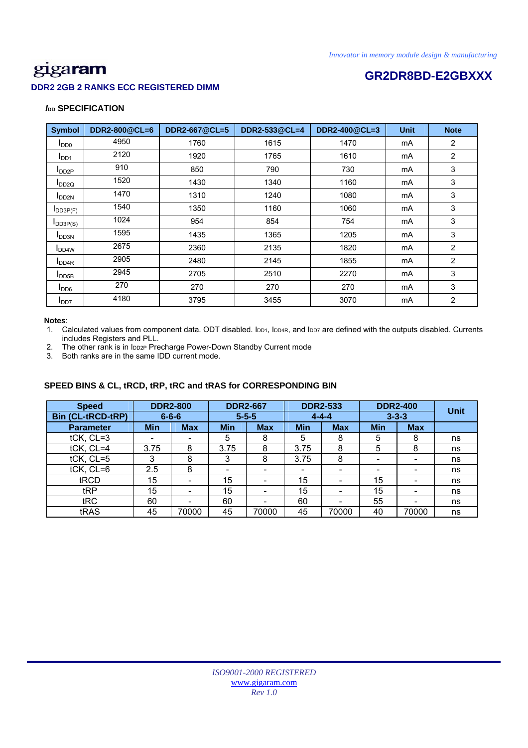### **DDR2 2GB 2 RANKS ECC REGISTERED DIMM**

# **GR2DR8BD-E2GBXXX**

### *I***<sub>DD</sub> SPECIFICATION**

| <b>Symbol</b>              | DDR2-800@CL=6 | DDR2-667@CL=5 | DDR2-533@CL=4 | DDR2-400@CL=3 | <b>Unit</b> | <b>Note</b>    |
|----------------------------|---------------|---------------|---------------|---------------|-------------|----------------|
| I <sub>DD0</sub>           | 4950          | 1760          | 1615          | 1470          | mA          | $\overline{2}$ |
| I <sub>DD1</sub>           | 2120          | 1920          | 1765          | 1610          | mA          | $\overline{2}$ |
| $I_{DD2P}$                 | 910           | 850           | 790           | 730           | mA          | 3              |
| $I_{DD2Q}$                 | 1520          | 1430          | 1340          | 1160          | mA          | 3              |
| <b>I</b> DD <sub>2N</sub>  | 1470          | 1310          | 1240          | 1080          | mA          | 3              |
| $I$ <sub>DD3P(F)</sub>     | 1540          | 1350          | 1160          | 1060          | mA          | 3              |
| $I_{DD3P(S)}$              | 1024          | 954           | 854           | 754           | mA          | 3              |
| <b>I</b> DD3N              | 1595          | 1435          | 1365          | 1205          | mA          | 3              |
| <b>I</b> DD <sub>4</sub> W | 2675          | 2360          | 2135          | 1820          | mA          | $\overline{2}$ |
| I <sub>DD4R</sub>          | 2905          | 2480          | 2145          | 1855          | mA          | $\overline{2}$ |
| $I_{\text{DDB}}$           | 2945          | 2705          | 2510          | 2270          | mA          | 3              |
| $I_{DD6}$                  | 270           | 270           | 270           | 270           | mA          | 3              |
| I <sub>DD7</sub>           | 4180          | 3795          | 3455          | 3070          | mA          | $\overline{2}$ |

#### **Notes**:

1. Calculated values from component data. ODT disabled. IDD1, IDD4R, and IDD7 are defined with the outputs disabled. Currents includes Registers and PLL.

2. The other rank is in IDD2P Precharge Power-Down Standby Current mode

3. Both ranks are in the same IDD current mode.

### **SPEED BINS & CL, tRCD, tRP, tRC and tRAS for CORRESPONDING BIN**

| <b>Speed</b>             | <b>DDR2-800</b> |                          | <b>DDR2-667</b> |            | <b>DDR2-533</b>          |                          | <b>DDR2-400</b>          |            | <b>Unit</b> |
|--------------------------|-----------------|--------------------------|-----------------|------------|--------------------------|--------------------------|--------------------------|------------|-------------|
| <b>Bin (CL-tRCD-tRP)</b> |                 | $6 - 6 - 6$              | $5 - 5 - 5$     |            | $4 - 4 - 4$              |                          | $3 - 3 - 3$              |            |             |
| <b>Parameter</b>         | <b>Min</b>      | <b>Max</b>               | <b>Min</b>      | <b>Max</b> | <b>Min</b>               | <b>Max</b>               | <b>Min</b>               | <b>Max</b> |             |
| tCK, CL=3                | ۰               |                          | 5               | 8          | 5                        | 8                        | 5                        | 8          | ns          |
| tCK, CL=4                | 3.75            | 8                        | 3.75            | 8          | 3.75                     | 8                        | 5                        | 8          | ns          |
| tCK, CL=5                | 3               | 8                        | 3               | 8          | 3.75                     | 8                        | $\overline{\phantom{0}}$ | -          | ns          |
| $tCK$ , $CL=6$           | 2.5             | 8                        | -               |            | $\overline{\phantom{0}}$ | -                        | -                        |            | ns          |
| tRCD                     | 15              | $\overline{\phantom{0}}$ | 15              | -          | 15                       | -                        | 15                       |            | ns          |
| tRP                      | 15              |                          | 15              |            | 15                       | $\overline{\phantom{0}}$ | 15                       |            | ns          |
| tRC                      | 60              |                          | 60              |            | 60                       |                          | 55                       |            | ns          |
| tRAS                     | 45              | 70000                    | 45              | 70000      | 45                       | 70000                    | 40                       | 70000      | ns          |